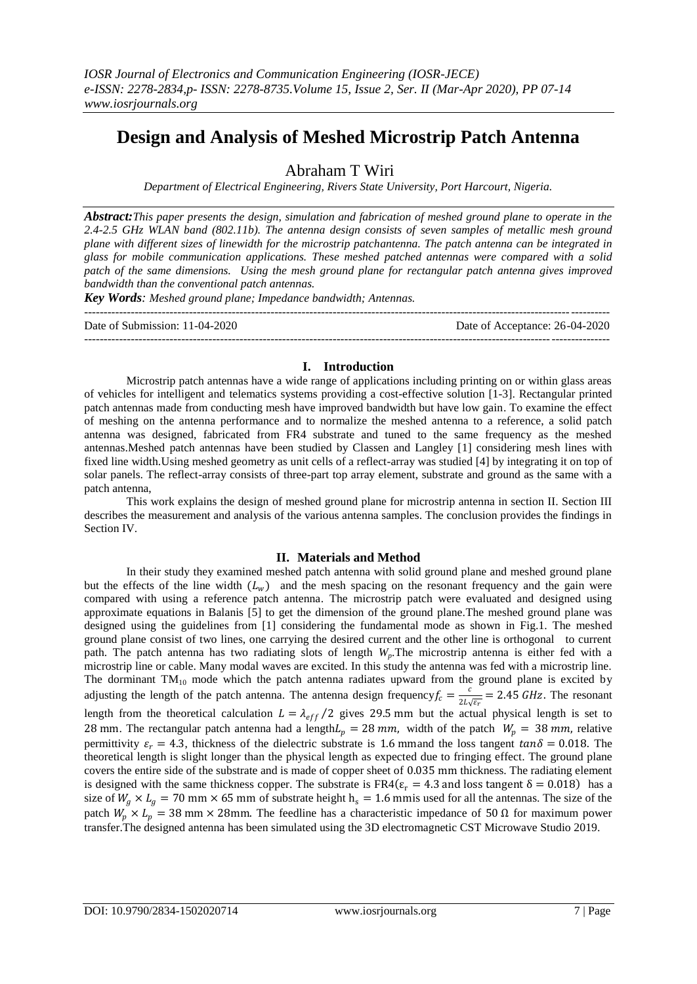# **Design and Analysis of Meshed Microstrip Patch Antenna**

Abraham T Wiri

*Department of Electrical Engineering, Rivers State University, Port Harcourt, Nigeria.*

*Abstract:This paper presents the design, simulation and fabrication of meshed ground plane to operate in the 2.4-2.5 GHz WLAN band (802.11b). The antenna design consists of seven samples of metallic mesh ground plane with different sizes of linewidth for the microstrip patchantenna. The patch antenna can be integrated in glass for mobile communication applications. These meshed patched antennas were compared with a solid patch of the same dimensions. Using the mesh ground plane for rectangular patch antenna gives improved bandwidth than the conventional patch antennas.*

*Key Words: Meshed ground plane; Impedance bandwidth; Antennas.*

| Date of Submission: 11-04-2020 | Date of Acceptance: 26-04-2020 |
|--------------------------------|--------------------------------|
|                                |                                |

## **I. Introduction**

Microstrip patch antennas have a wide range of applications including printing on or within glass areas of vehicles for intelligent and telematics systems providing a cost-effective solution [1-3]. Rectangular printed patch antennas made from conducting mesh have improved bandwidth but have low gain. To examine the effect of meshing on the antenna performance and to normalize the meshed antenna to a reference, a solid patch antenna was designed, fabricated from FR4 substrate and tuned to the same frequency as the meshed antennas.Meshed patch antennas have been studied by Classen and Langley [1] considering mesh lines with fixed line width.Using meshed geometry as unit cells of a reflect-array was studied [4] by integrating it on top of solar panels. The reflect-array consists of three-part top array element, substrate and ground as the same with a patch antenna,

This work explains the design of meshed ground plane for microstrip antenna in section II. Section III describes the measurement and analysis of the various antenna samples. The conclusion provides the findings in Section IV.

## **II. Materials and Method**

In their study they examined meshed patch antenna with solid ground plane and meshed ground plane but the effects of the line width  $(L_w)$  and the mesh spacing on the resonant frequency and the gain were compared with using a reference patch antenna. The microstrip patch were evaluated and designed using approximate equations in Balanis [5] to get the dimension of the ground plane.The meshed ground plane was designed using the guidelines from [1] considering the fundamental mode as shown in Fig.1. The meshed ground plane consist of two lines, one carrying the desired current and the other line is orthogonal to current path. The patch antenna has two radiating slots of length *Wp*.The microstrip antenna is either fed with a microstrip line or cable. Many modal waves are excited. In this study the antenna was fed with a microstrip line. The dorminant  $TM_{10}$  mode which the patch antenna radiates upward from the ground plane is excited by adjusting the length of the patch antenna. The antenna design frequency  $f_c = \frac{c}{2L}$  $\frac{c}{2L\sqrt{\varepsilon_r}}$  = 2.45 *GHz*. The resonant length from the theoretical calculation  $L = \lambda_{eff}/2$  gives 29.5 mm but the actual physical length is set to 28 mm. The rectangular patch antenna had a length  $L_p = 28$  mm, width of the patch  $W_p = 38$  mm, relative permittivity  $\varepsilon_r = 4.3$ , thickness of the dielectric substrate is 1.6 mmand the loss tangent  $tan \delta = 0.018$ . The theoretical length is slight longer than the physical length as expected due to fringing effect. The ground plane covers the entire side of the substrate and is made of copper sheet of 0.035 mm thickness. The radiating element is designed with the same thickness copper. The substrate is FR4( $\varepsilon_r$  = 4.3 and loss tangent  $\delta$  = 0.018) has a size of  $W_a \times L_a = 70$  mm  $\times$  65 mm of substrate height h<sub>s</sub> = 1.6 mmis used for all the antennas. The size of the patch  $W_p \times L_p = 38$  mm × 28mm. The feedline has a characteristic impedance of 50 Ω for maximum power transfer.The designed antenna has been simulated using the 3D electromagnetic CST Microwave Studio 2019.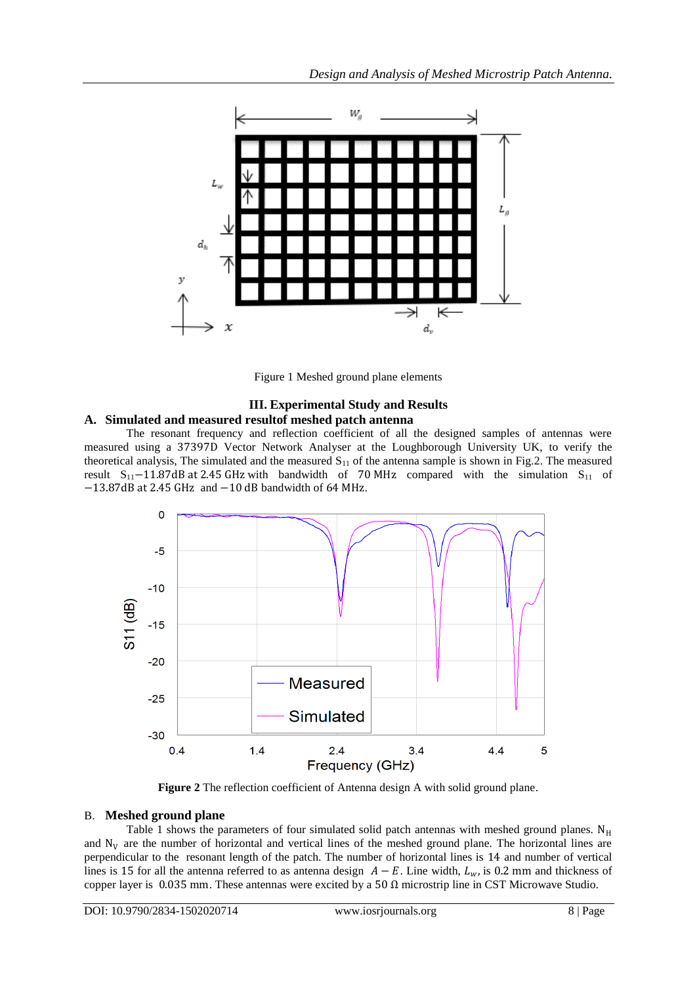

Figure 1 Meshed ground plane elements

#### **III. Experimental Study and Results A. Simulated and measured resultof meshed patch antenna**

The resonant frequency and reflection coefficient of all the designed samples of antennas were measured using a 37397D Vector Network Analyser at the Loughborough University UK, to verify the theoretical analysis, The simulated and the measured  $S_{11}$  of the antenna sample is shown in Fig.2. The measured result  $S_{11}$ −11.87dB at 2.45 GHz with bandwidth of 70 MHz compared with the simulation  $S_{11}$  of −13.87dB at 2.45 GHz and −10 dB bandwidth of 64 MHz.



**Figure 2** The reflection coefficient of Antenna design A with solid ground plane.

## B. **Meshed ground plane**

Table 1 shows the parameters of four simulated solid patch antennas with meshed ground planes.  $N_H$ and  $N_V$  are the number of horizontal and vertical lines of the meshed ground plane. The horizontal lines are perpendicular to the resonant length of the patch. The number of horizontal lines is 14 and number of vertical lines is 15 for all the antenna referred to as antenna design  $A - E$ . Line width,  $L_w$ , is 0.2 mm and thickness of copper layer is 0.035 mm. These antennas were excited by a 50  $\Omega$  microstrip line in CST Microwave Studio.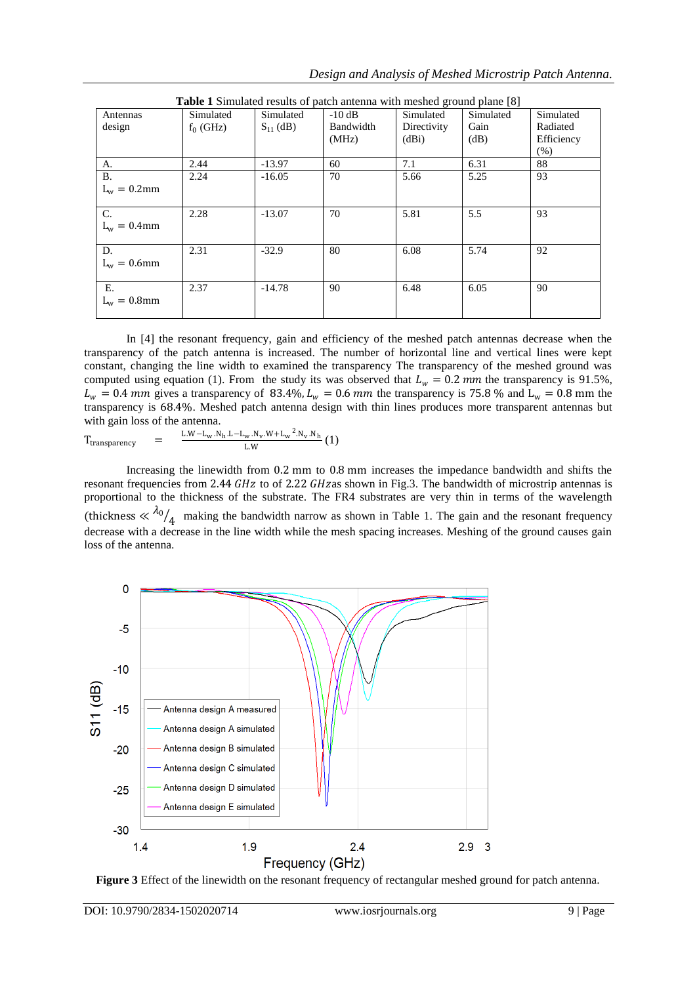| Antennas       | Simulated   | Simulated     | <b>Table 1</b> Simulated results of patch antenna with meshed ground plane [8]<br>$-10$ dB | Simulated   | Simulated | Simulated  |
|----------------|-------------|---------------|--------------------------------------------------------------------------------------------|-------------|-----------|------------|
| design         | $f_0$ (GHz) | $S_{11}$ (dB) | Bandwidth                                                                                  | Directivity | Gain      | Radiated   |
|                |             |               | (MHz)                                                                                      | (dBi)       | (dB)      | Efficiency |
|                |             |               |                                                                                            |             |           | (% )       |
| A.             | 2.44        | $-13.97$      | 60                                                                                         | 7.1         | 6.31      | 88         |
| <b>B.</b>      | 2.24        | $-16.05$      | 70                                                                                         | 5.66        | 5.25      | 93         |
| $L_w = 0.2$ mm |             |               |                                                                                            |             |           |            |
|                |             |               |                                                                                            |             |           |            |
| C.             | 2.28        | $-13.07$      | 70                                                                                         | 5.81        | 5.5       | 93         |
| $L_w = 0.4$ mm |             |               |                                                                                            |             |           |            |
|                |             |               |                                                                                            |             |           |            |
| D.             | 2.31        | $-32.9$       | 80                                                                                         | 6.08        | 5.74      | 92         |
| $L_w = 0.6$ mm |             |               |                                                                                            |             |           |            |
|                |             |               |                                                                                            |             |           |            |
| E.             | 2.37        | $-14.78$      | 90                                                                                         | 6.48        | 6.05      | 90         |
| $L_w = 0.8$ mm |             |               |                                                                                            |             |           |            |
|                |             |               |                                                                                            |             |           |            |

**Table 1** Simulated results of patch antenna with meshed ground plane [8]

In [4] the resonant frequency, gain and efficiency of the meshed patch antennas decrease when the transparency of the patch antenna is increased. The number of horizontal line and vertical lines were kept constant, changing the line width to examined the transparency The transparency of the meshed ground was computed using equation (1). From the study its was observed that  $L_w = 0.2$  mm the transparency is 91.5%,  $L_w = 0.4$  mm gives a transparency of 83.4%,  $L_w = 0.6$  mm the transparency is 75.8 % and  $L_w = 0.8$  mm the transparency is 68.4%. Meshed patch antenna design with thin lines produces more transparent antennas but with gain loss of the antenna.

$$
T_{\text{transparency}} = \frac{L.W - L_W.N_h.L - L_W.N_v.W + L_W^2.N_v.N_h}{L.W} (1)
$$

Increasing the linewidth from 0.2 mm to 0.8 mm increases the impedance bandwidth and shifts the resonant frequencies from 2.44 GHz to of 2.22 GHz as shown in Fig.3. The bandwidth of microstrip antennas is proportional to the thickness of the substrate. The FR4 substrates are very thin in terms of the wavelength (thickness  $\ll \lambda_0$  $\frac{1}{4}$  making the bandwidth narrow as shown in Table 1. The gain and the resonant frequency decrease with a decrease in the line width while the mesh spacing increases. Meshing of the ground causes gain loss of the antenna.



**Figure 3** Effect of the linewidth on the resonant frequency of rectangular meshed ground for patch antenna.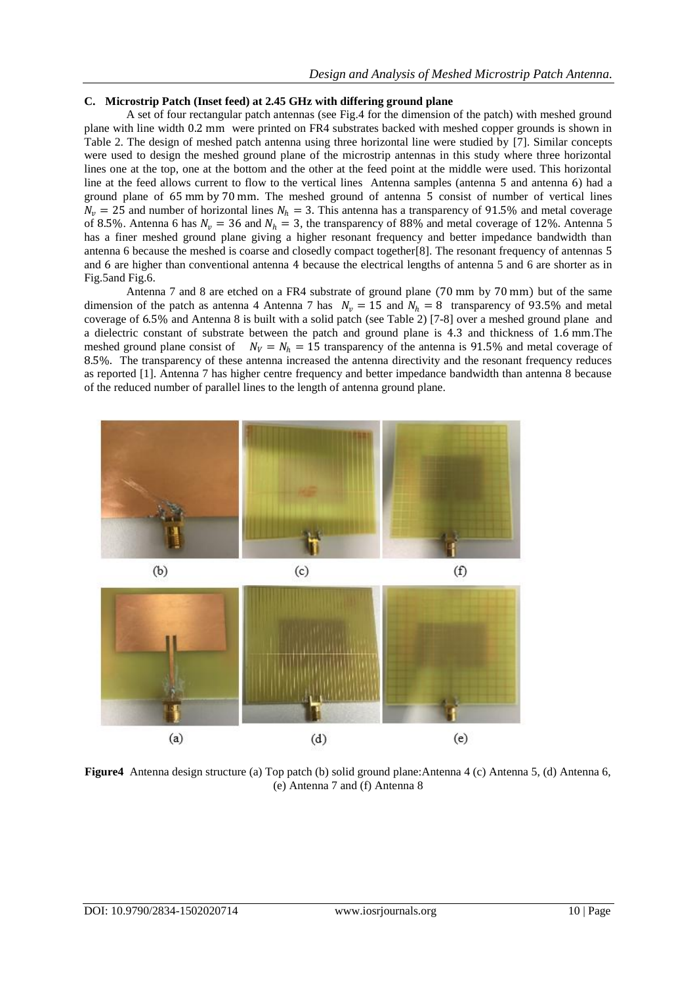#### **C. Microstrip Patch (Inset feed) at 2.45 GHz with differing ground plane**

A set of four rectangular patch antennas (see Fig.4 for the dimension of the patch) with meshed ground plane with line width 0.2 mm were printed on FR4 substrates backed with meshed copper grounds is shown in Table 2. The design of meshed patch antenna using three horizontal line were studied by [7]. Similar concepts were used to design the meshed ground plane of the microstrip antennas in this study where three horizontal lines one at the top, one at the bottom and the other at the feed point at the middle were used. This horizontal line at the feed allows current to flow to the vertical lines Antenna samples (antenna 5 and antenna 6) had a ground plane of 65 mm by 70 mm. The meshed ground of antenna 5 consist of number of vertical lines  $N_v = 25$  and number of horizontal lines  $N_h = 3$ . This antenna has a transparency of 91.5% and metal coverage of 8.5%. Antenna 6 has  $N_v = 36$  and  $N_h = 3$ , the transparency of 88% and metal coverage of 12%. Antenna 5 has a finer meshed ground plane giving a higher resonant frequency and better impedance bandwidth than antenna 6 because the meshed is coarse and closedly compact together[8]. The resonant frequency of antennas 5 and 6 are higher than conventional antenna 4 because the electrical lengths of antenna 5 and 6 are shorter as in Fig.5and Fig.6.

Antenna 7 and 8 are etched on a FR4 substrate of ground plane (70 mm by 70 mm) but of the same dimension of the patch as antenna 4 Antenna 7 has  $N_v = 15$  and  $N_h = 8$  transparency of 93.5% and metal coverage of 6.5% and Antenna 8 is built with a solid patch (see Table 2) [7-8] over a meshed ground plane and a dielectric constant of substrate between the patch and ground plane is 4.3 and thickness of 1.6 mm.The meshed ground plane consist of  $N_V = N_h = 15$  transparency of the antenna is 91.5% and metal coverage of 8.5%. The transparency of these antenna increased the antenna directivity and the resonant frequency reduces as reported [1]. Antenna 7 has higher centre frequency and better impedance bandwidth than antenna 8 because of the reduced number of parallel lines to the length of antenna ground plane.



**Figure4** Antenna design structure (a) Top patch (b) solid ground plane:Antenna 4 (c) Antenna 5, (d) Antenna 6, (e) Antenna 7 and (f) Antenna 8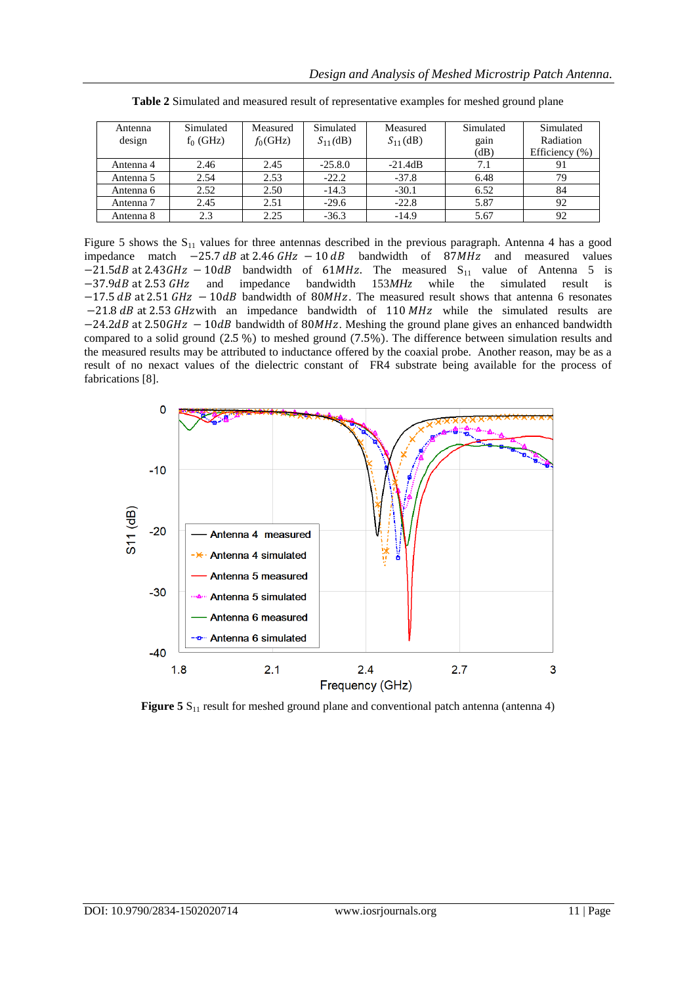| Antenna   | Simulated   | Measured    | Simulated     | Measured      | Simulated | Simulated          |
|-----------|-------------|-------------|---------------|---------------|-----------|--------------------|
| design    | $f_0$ (GHz) | $f_0$ (GHz) | $S_{11}$ (dB) | $S_{11}$ (dB) | gain      | Radiation          |
|           |             |             |               |               | (dB)      | Efficiency $(\% )$ |
| Antenna 4 | 2.46        | 2.45        | $-25.8.0$     | $-21.4dB$     | 7.1       | 91                 |
| Antenna 5 | 2.54        | 2.53        | $-22.2$       | $-37.8$       | 6.48      | 79                 |
| Antenna 6 | 2.52        | 2.50        | $-14.3$       | $-30.1$       | 6.52      | 84                 |
| Antenna 7 | 2.45        | 2.51        | $-29.6$       | $-22.8$       | 5.87      | 92                 |
| Antenna 8 | 2.3         | 2.25        | $-36.3$       | $-14.9$       | 5.67      | 92                 |

**Table 2** Simulated and measured result of representative examples for meshed ground plane

Figure 5 shows the  $S_{11}$  values for three antennas described in the previous paragraph. Antenna 4 has a good impedance match  $-25.7$  dB at 2.46 GHz  $-10$  dB bandwidth of 87MHz and measured values  $-21.5 dB$  at 2.43 GHz  $-10 dB$  bandwidth of 61MHz. The measured S<sub>11</sub> value of Antenna 5 is −37.9*dB* at 2.53 *GHz* and impedance bandwidth 153*MHz* while the simulated result is  $-17.5$  dB at 2.51 GHz  $-10$ dB bandwidth of 80MHz. The measured result shows that antenna 6 resonates  $-21.8$  dB at 2.53 GHz with an impedance bandwidth of 110 MHz while the simulated results are  $-24.2 dB$  at 2.50 GHz  $-10 dB$  bandwidth of 80MHz. Meshing the ground plane gives an enhanced bandwidth compared to a solid ground (2.5 %) to meshed ground (7.5%). The difference between simulation results and the measured results may be attributed to inductance offered by the coaxial probe. Another reason, may be as a result of no nexact values of the dielectric constant of FR4 substrate being available for the process of fabrications [8].



**Figure 5**  $S_{11}$  result for meshed ground plane and conventional patch antenna (antenna 4)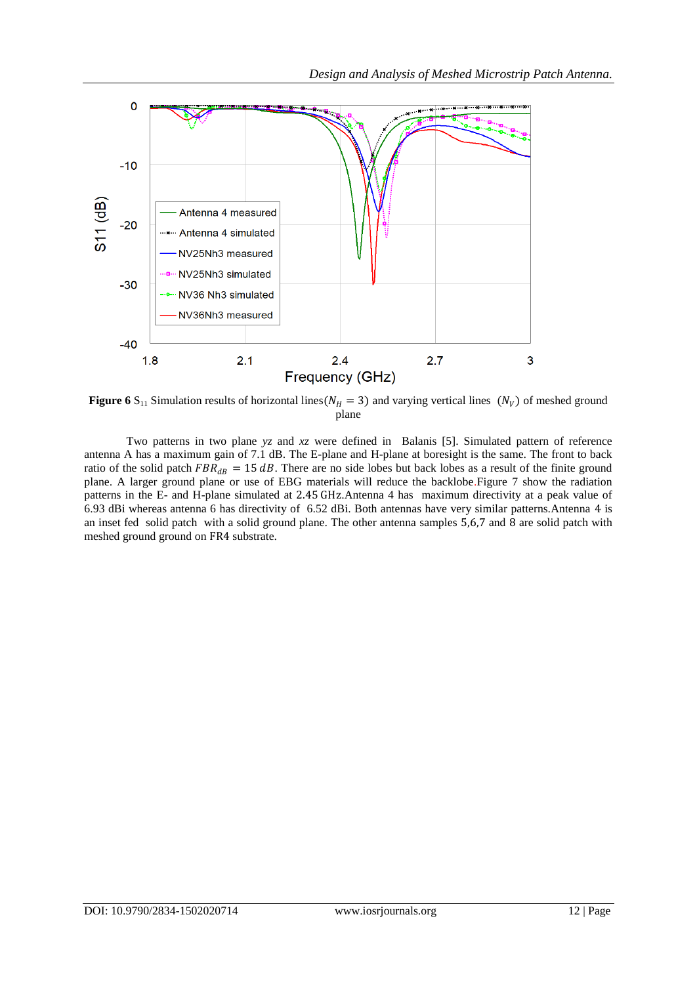

**Figure 6** S<sub>11</sub> Simulation results of horizontal lines( $N_H = 3$ ) and varying vertical lines ( $N_V$ ) of meshed ground plane

Two patterns in two plane *yz* and *xz* were defined in Balanis [5]. Simulated pattern of reference antenna A has a maximum gain of 7.1 dB. The E-plane and H-plane at boresight is the same. The front to back ratio of the solid patch  $FBR_{dB} = 15 dB$ . There are no side lobes but back lobes as a result of the finite ground plane. A larger ground plane or use of EBG materials will reduce the backlobe.Figure 7 show the radiation patterns in the E- and H-plane simulated at 2.45 GHz.Antenna 4 has maximum directivity at a peak value of 6.93 dBi whereas antenna 6 has directivity of 6.52 dBi. Both antennas have very similar patterns.Antenna 4 is an inset fed solid patch with a solid ground plane. The other antenna samples 5,6,7 and 8 are solid patch with meshed ground ground on FR4 substrate.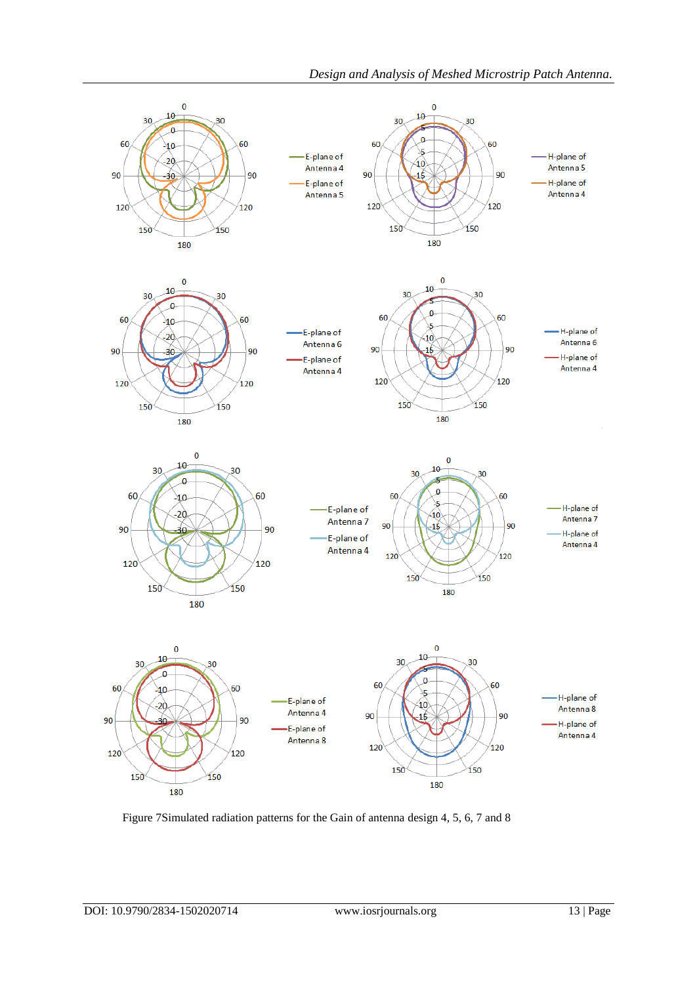

Figure 7Simulated radiation patterns for the Gain of antenna design 4, 5, 6, 7 and 8